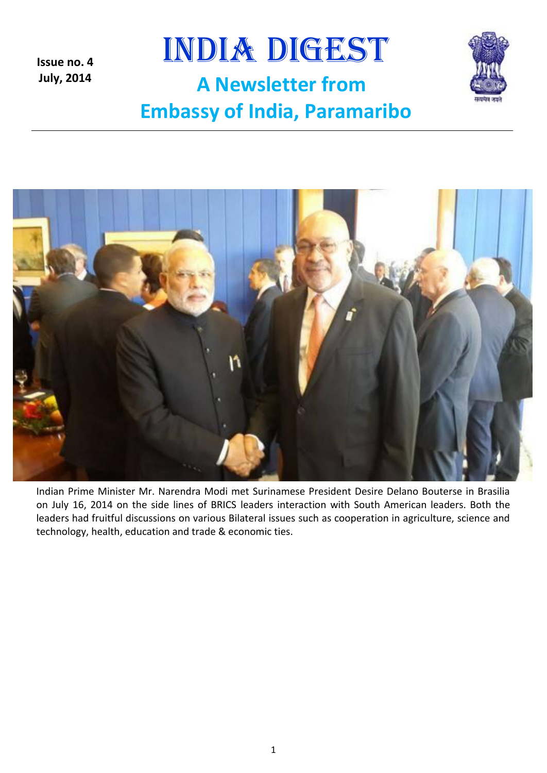

**Issue no. 4 July, 2014**





Indian Prime Minister Mr. Narendra Modi met Surinamese President Desire Delano Bouterse in Brasilia on July 16, 2014 on the side lines of BRICS leaders interaction with South American leaders. Both the leaders had fruitful discussions on various Bilateral issues such as cooperation in agriculture, science and technology, health, education and trade & economic ties.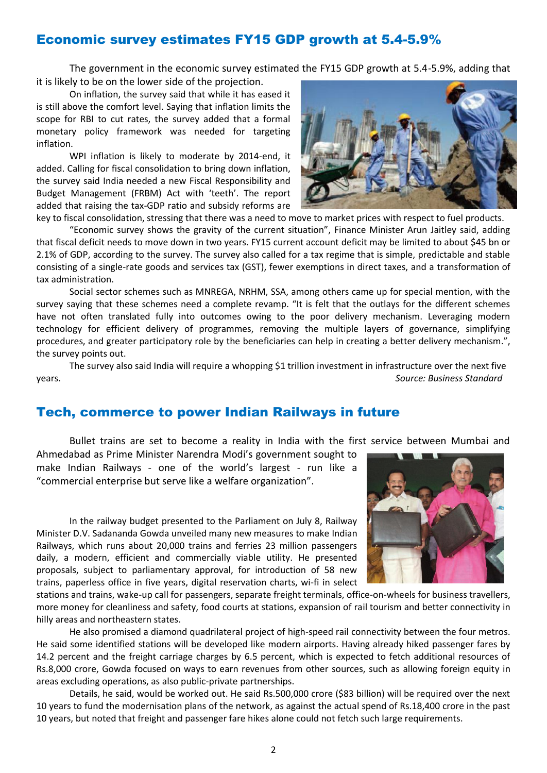### Economic survey estimates FY15 GDP growth at 5.4-5.9%

The government in the economic survey estimated the FY15 GDP growth at 5.4-5.9%, adding that it is likely to be on the lower side of the projection.

On inflation, the survey said that while it has eased it is still above the comfort level. Saying that inflation limits the scope for RBI to cut rates, the survey added that a formal monetary policy framework was needed for targeting inflation.

WPI inflation is likely to moderate by 2014-end, it added. Calling for fiscal consolidation to bring down inflation, the survey said India needed a new Fiscal Responsibility and Budget Management (FRBM) Act with 'teeth'. The report added that raising the tax-GDP ratio and subsidy reforms are



key to fiscal consolidation, stressing that there was a need to move to market prices with respect to fuel products.

"Economic survey shows the gravity of the current situation", Finance Minister Arun Jaitley said, adding that fiscal deficit needs to move down in two years. FY15 current account deficit may be limited to about \$45 bn or 2.1% of GDP, according to the survey. The survey also called for a tax regime that is simple, predictable and stable consisting of a single-rate goods and services tax (GST), fewer exemptions in direct taxes, and a transformation of tax administration.

Social sector schemes such as MNREGA, NRHM, SSA, among others came up for special mention, with the survey saying that these schemes need a complete revamp. "It is felt that the outlays for the different schemes have not often translated fully into outcomes owing to the poor delivery mechanism. Leveraging modern technology for efficient delivery of programmes, removing the multiple layers of governance, simplifying procedures, and greater participatory role by the beneficiaries can help in creating a better delivery mechanism.", the survey points out.

The survey also said India will require a whopping \$1 trillion investment in infrastructure over the next five years. *Source: Business Standard*

#### Tech, commerce to power Indian Railways in future

Bullet trains are set to become a reality in India with the first service between Mumbai and

Ahmedabad as Prime Minister Narendra Modi's government sought to make Indian Railways - one of the world's largest - run like a "commercial enterprise but serve like a welfare organization".

In the railway budget presented to the Parliament on July 8, Railway Minister D.V. Sadananda Gowda unveiled many new measures to make Indian Railways, which runs about 20,000 trains and ferries 23 million passengers daily, a modern, efficient and commercially viable utility. He presented proposals, subject to parliamentary approval, for introduction of 58 new trains, paperless office in five years, digital reservation charts, wi-fi in select



stations and trains, wake-up call for passengers, separate freight terminals, office-on-wheels for business travellers, more money for cleanliness and safety, food courts at stations, expansion of rail tourism and better connectivity in hilly areas and northeastern states.

He also promised a diamond quadrilateral project of high-speed rail connectivity between the four metros. He said some identified stations will be developed like modern airports. Having already hiked passenger fares by 14.2 percent and the freight carriage charges by 6.5 percent, which is expected to fetch additional resources of Rs.8,000 crore, Gowda focused on ways to earn revenues from other sources, such as allowing foreign equity in areas excluding operations, as also public-private partnerships.

Details, he said, would be worked out. He said Rs.500,000 crore (\$83 billion) will be required over the next 10 years to fund the modernisation plans of the network, as against the actual spend of Rs.18,400 crore in the past 10 years, but noted that freight and passenger fare hikes alone could not fetch such large requirements.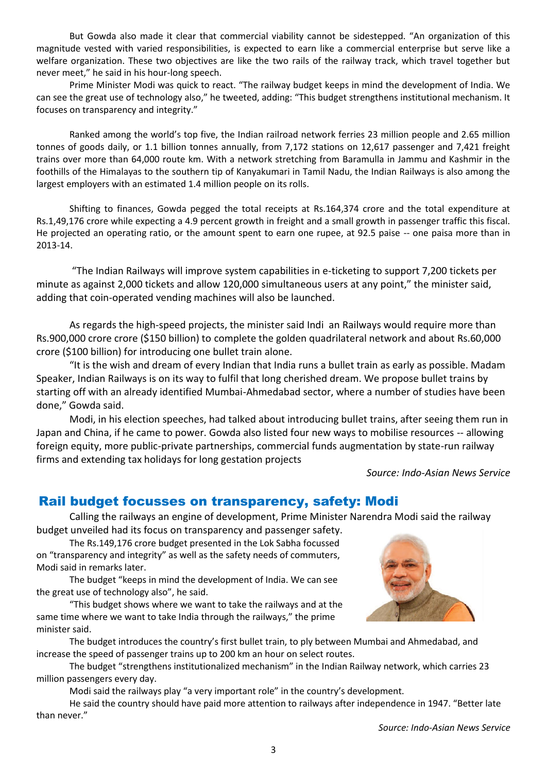But Gowda also made it clear that commercial viability cannot be sidestepped. "An organization of this magnitude vested with varied responsibilities, is expected to earn like a commercial enterprise but serve like a welfare organization. These two objectives are like the two rails of the railway track, which travel together but never meet," he said in his hour-long speech.

Prime Minister Modi was quick to react. "The railway budget keeps in mind the development of India. We can see the great use of technology also," he tweeted, adding: "This budget strengthens institutional mechanism. It focuses on transparency and integrity."

Ranked among the world's top five, the Indian railroad network ferries 23 million people and 2.65 million tonnes of goods daily, or 1.1 billion tonnes annually, from 7,172 stations on 12,617 passenger and 7,421 freight trains over more than 64,000 route km. With a network stretching from Baramulla in Jammu and Kashmir in the foothills of the Himalayas to the southern tip of Kanyakumari in Tamil Nadu, the Indian Railways is also among the largest employers with an estimated 1.4 million people on its rolls.

Shifting to finances, Gowda pegged the total receipts at Rs.164,374 crore and the total expenditure at Rs.1,49,176 crore while expecting a 4.9 percent growth in freight and a small growth in passenger traffic this fiscal. He projected an operating ratio, or the amount spent to earn one rupee, at 92.5 paise -- one paisa more than in 2013-14.

"The Indian Railways will improve system capabilities in e-ticketing to support 7,200 tickets per minute as against 2,000 tickets and allow 120,000 simultaneous users at any point," the minister said, adding that coin-operated vending machines will also be launched.

As regards the high-speed projects, the minister said Indi an Railways would require more than Rs.900,000 crore crore (\$150 billion) to complete the golden quadrilateral network and about Rs.60,000 crore (\$100 billion) for introducing one bullet train alone.

"It is the wish and dream of every Indian that India runs a bullet train as early as possible. Madam Speaker, Indian Railways is on its way to fulfil that long cherished dream. We propose bullet trains by starting off with an already identified Mumbai-Ahmedabad sector, where a number of studies have been done," Gowda said.

Modi, in his election speeches, had talked about introducing bullet trains, after seeing them run in Japan and China, if he came to power. Gowda also listed four new ways to mobilise resources -- allowing foreign equity, more public-private partnerships, commercial funds augmentation by state-run railway firms and extending tax holidays for long gestation projects

*Source: Indo-Asian News Service*

#### Rail budget focusses on transparency, safety: Modi

Calling the railways an engine of development, Prime Minister Narendra Modi said the railway budget unveiled had its focus on transparency and passenger safety.

The Rs.149,176 crore budget presented in the Lok Sabha focussed on "transparency and integrity" as well as the safety needs of commuters, Modi said in remarks later.

The budget "keeps in mind the development of India. We can see the great use of technology also", he said.

"This budget shows where we want to take the railways and at the same time where we want to take India through the railways," the prime minister said.



The budget introduces the country's first bullet train, to ply between Mumbai and Ahmedabad, and increase the speed of passenger trains up to 200 km an hour on select routes.

The budget "strengthens institutionalized mechanism" in the Indian Railway network, which carries 23 million passengers every day.

Modi said the railways play "a very important role" in the country's development.

He said the country should have paid more attention to railways after independence in 1947. "Better late than never."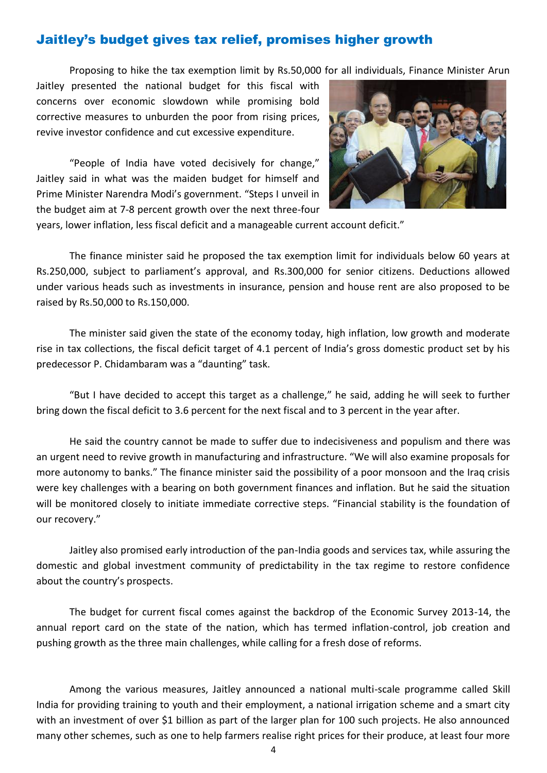### Jaitley's budget gives tax relief, promises higher growth

Proposing to hike the tax exemption limit by Rs.50,000 for all individuals, Finance Minister Arun

Jaitley presented the national budget for this fiscal with concerns over economic slowdown while promising bold corrective measures to unburden the poor from rising prices, revive investor confidence and cut excessive expenditure.

"People of India have voted decisively for change," Jaitley said in what was the maiden budget for himself and Prime Minister Narendra Modi's government. "Steps I unveil in the budget aim at 7-8 percent growth over the next three-four



years, lower inflation, less fiscal deficit and a manageable current account deficit."

The finance minister said he proposed the tax exemption limit for individuals below 60 years at Rs.250,000, subject to parliament's approval, and Rs.300,000 for senior citizens. Deductions allowed under various heads such as investments in insurance, pension and house rent are also proposed to be raised by Rs.50,000 to Rs.150,000.

The minister said given the state of the economy today, high inflation, low growth and moderate rise in tax collections, the fiscal deficit target of 4.1 percent of India's gross domestic product set by his predecessor P. Chidambaram was a "daunting" task.

"But I have decided to accept this target as a challenge," he said, adding he will seek to further bring down the fiscal deficit to 3.6 percent for the next fiscal and to 3 percent in the year after.

He said the country cannot be made to suffer due to indecisiveness and populism and there was an urgent need to revive growth in manufacturing and infrastructure. "We will also examine proposals for more autonomy to banks." The finance minister said the possibility of a poor monsoon and the Iraq crisis were key challenges with a bearing on both government finances and inflation. But he said the situation will be monitored closely to initiate immediate corrective steps. "Financial stability is the foundation of our recovery."

Jaitley also promised early introduction of the pan-India goods and services tax, while assuring the domestic and global investment community of predictability in the tax regime to restore confidence about the country's prospects.

The budget for current fiscal comes against the backdrop of the Economic Survey 2013-14, the annual report card on the state of the nation, which has termed inflation-control, job creation and pushing growth as the three main challenges, while calling for a fresh dose of reforms.

Among the various measures, Jaitley announced a national multi-scale programme called Skill India for providing training to youth and their employment, a national irrigation scheme and a smart city with an investment of over \$1 billion as part of the larger plan for 100 such projects. He also announced many other schemes, such as one to help farmers realise right prices for their produce, at least four more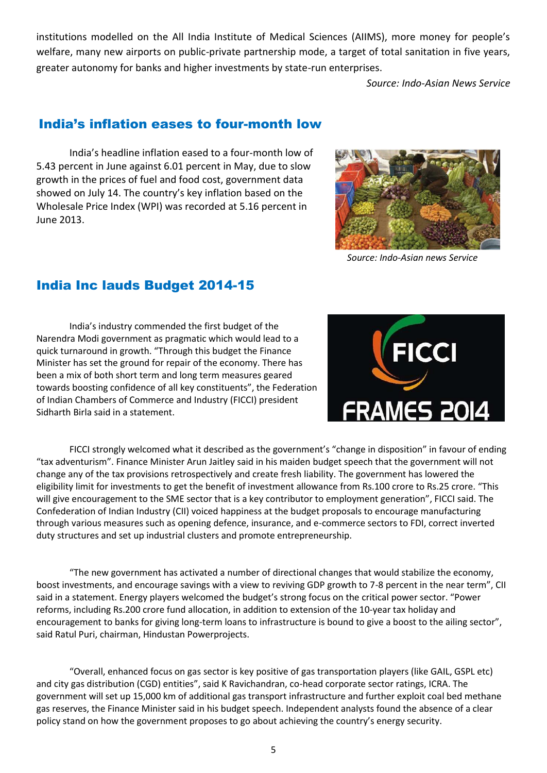institutions modelled on the All India Institute of Medical Sciences (AIIMS), more money for people's welfare, many new airports on public-private partnership mode, a target of total sanitation in five years, greater autonomy for banks and higher investments by state-run enterprises.

*Source: Indo-Asian News Service*

### India's inflation eases to four-month low

India's headline inflation eased to a four-month low of 5.43 percent in June against 6.01 percent in May, due to slow growth in the prices of fuel and food cost, government data showed on July 14. The country's key inflation based on the Wholesale Price Index (WPI) was recorded at 5.16 percent in June 2013.



 *Source: Indo-Asian news Service*

## India Inc lauds Budget 2014-15

India's industry commended the first budget of the Narendra Modi government as pragmatic which would lead to a quick turnaround in growth. "Through this budget the Finance Minister has set the ground for repair of the economy. There has been a mix of both short term and long term measures geared towards boosting confidence of all key constituents", the Federation of Indian Chambers of Commerce and Industry (FICCI) president Sidharth Birla said in a statement.



FICCI strongly welcomed what it described as the government's "change in disposition" in favour of ending "tax adventurism". Finance Minister Arun Jaitley said in his maiden budget speech that the government will not change any of the tax provisions retrospectively and create fresh liability. The government has lowered the eligibility limit for investments to get the benefit of investment allowance from Rs.100 crore to Rs.25 crore. "This will give encouragement to the SME sector that is a key contributor to employment generation", FICCI said. The Confederation of Indian Industry (CII) voiced happiness at the budget proposals to encourage manufacturing through various measures such as opening defence, insurance, and e-commerce sectors to FDI, correct inverted duty structures and set up industrial clusters and promote entrepreneurship.

"The new government has activated a number of directional changes that would stabilize the economy, boost investments, and encourage savings with a view to reviving GDP growth to 7-8 percent in the near term", CII said in a statement. Energy players welcomed the budget's strong focus on the critical power sector. "Power reforms, including Rs.200 crore fund allocation, in addition to extension of the 10-year tax holiday and encouragement to banks for giving long-term loans to infrastructure is bound to give a boost to the ailing sector", said Ratul Puri, chairman, Hindustan Powerprojects.

"Overall, enhanced focus on gas sector is key positive of gas transportation players (like GAIL, GSPL etc) and city gas distribution (CGD) entities", said K Ravichandran, co-head corporate sector ratings, ICRA. The government will set up 15,000 km of additional gas transport infrastructure and further exploit coal bed methane gas reserves, the Finance Minister said in his budget speech. Independent analysts found the absence of a clear policy stand on how the government proposes to go about achieving the country's energy security.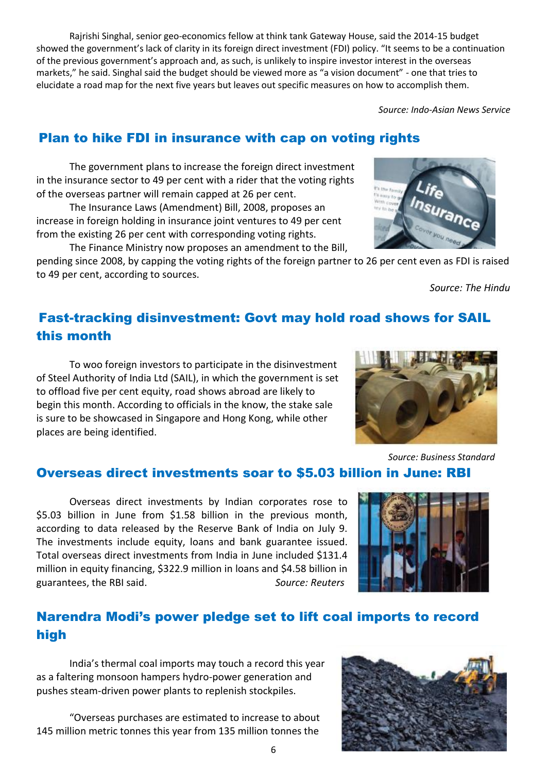Rajrishi Singhal, senior geo-economics fellow at think tank Gateway House, said the 2014-15 budget showed the government's lack of clarity in its foreign direct investment (FDI) policy. "It seems to be a continuation of the previous government's approach and, as such, is unlikely to inspire investor interest in the overseas markets," he said. Singhal said the budget should be viewed more as "a vision document" - one that tries to elucidate a road map for the next five years but leaves out specific measures on how to accomplish them.

*Source: Indo-Asian News Service*

## Plan to hike FDI in insurance with cap on voting rights

The government plans to increase the foreign direct investment in the insurance sector to 49 per cent with a rider that the voting rights of the overseas partner will remain capped at 26 per cent.

The Insurance Laws (Amendment) Bill, 2008, proposes an increase in foreign holding in insurance joint ventures to 49 per cent from the existing 26 per cent with corresponding voting rights.

The Finance Ministry now proposes an amendment to the Bill, pending since 2008, by capping the voting rights of the foreign partner to 26 per cent even as FDI is raised to 49 per cent, according to sources.

*Source: The Hindu*

## Fast-tracking disinvestment: Govt may hold road shows for SAIL this month

To woo foreign investors to participate in the disinvestment of Steel Authority of India Ltd (SAIL), in which the government is set to offload five per cent equity, road shows abroad are likely to begin this month. According to officials in the know, the stake sale is sure to be showcased in Singapore and Hong Kong, while other places are being identified.

### Overseas direct investments soar to \$5.03 billion in June: RBI

Overseas direct investments by Indian corporates rose to \$5.03 billion in June from \$1.58 billion in the previous month, according to data released by the Reserve Bank of India on July 9. The investments include equity, loans and bank guarantee issued. Total overseas direct investments from India in June included \$131.4 million in equity financing, \$322.9 million in loans and \$4.58 billion in guarantees, the RBI said. *Source: Reuters* 

## Narendra Modi's power pledge set to lift coal imports to record high

India's thermal coal imports may touch a record this year as a faltering monsoon hampers hydro-power generation and pushes steam-driven power plants to replenish stockpiles.

"Overseas purchases are estimated to increase to about 145 million metric tonnes this year from 135 million tonnes the







 *Source: Business Standard*

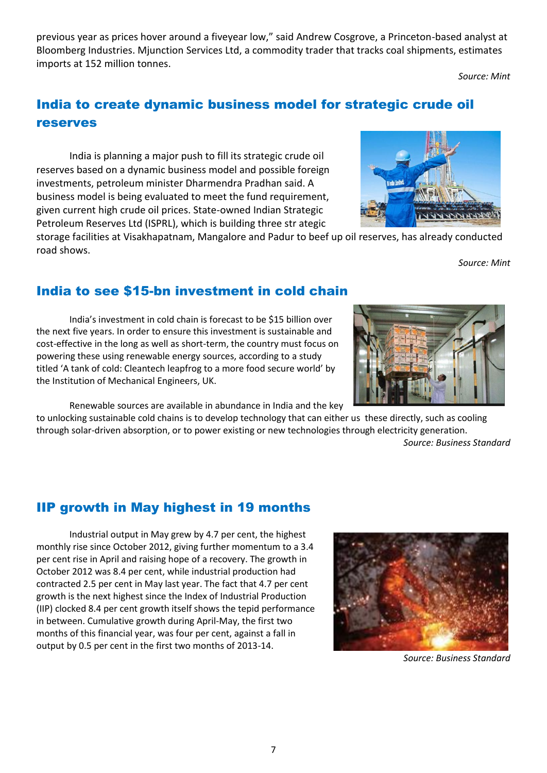previous year as prices hover around a fiveyear low," said Andrew Cosgrove, a Princeton-based analyst at Bloomberg Industries. Mjunction Services Ltd, a commodity trader that tracks coal shipments, estimates imports at 152 million tonnes.

*Source: Mint* 

*Source: Mint*

# India to create dynamic business model for strategic crude oil reserves

India is planning a major push to fill its strategic crude oil reserves based on a dynamic business model and possible foreign investments, petroleum minister Dharmendra Pradhan said. A business model is being evaluated to meet the fund requirement, given current high crude oil prices. State-owned Indian Strategic Petroleum Reserves Ltd (ISPRL), which is building three str ategic

storage facilities at Visakhapatnam, Mangalore and Padur to beef up oil reserves, has already conducted road shows.

### India to see \$15-bn investment in cold chain

India's investment in cold chain is forecast to be \$15 billion over the next five years. In order to ensure this investment is sustainable and cost-effective in the long as well as short-term, the country must focus on powering these using renewable energy sources, according to a study titled 'A tank of cold: Cleantech leapfrog to a more food secure world' by the Institution of Mechanical Engineers, UK.

Renewable sources are available in abundance in India and the key

to unlocking sustainable cold chains is to develop technology that can either us these directly, such as cooling through solar-driven absorption, or to power existing or new technologies through electricity generation. *Source: Business Standard*

## IIP growth in May highest in 19 months

Industrial output in May grew by 4.7 per cent, the highest monthly rise since October 2012, giving further momentum to a 3.4 per cent rise in April and raising hope of a recovery. The growth in October 2012 was 8.4 per cent, while industrial production had contracted 2.5 per cent in May last year. The fact that 4.7 per cent growth is the next highest since the Index of Industrial Production (IIP) clocked 8.4 per cent growth itself shows the tepid performance in between. Cumulative growth during April-May, the first two months of this financial year, was four per cent, against a fall in output by 0.5 per cent in the first two months of 2013-14.

*Source: Business Standard*





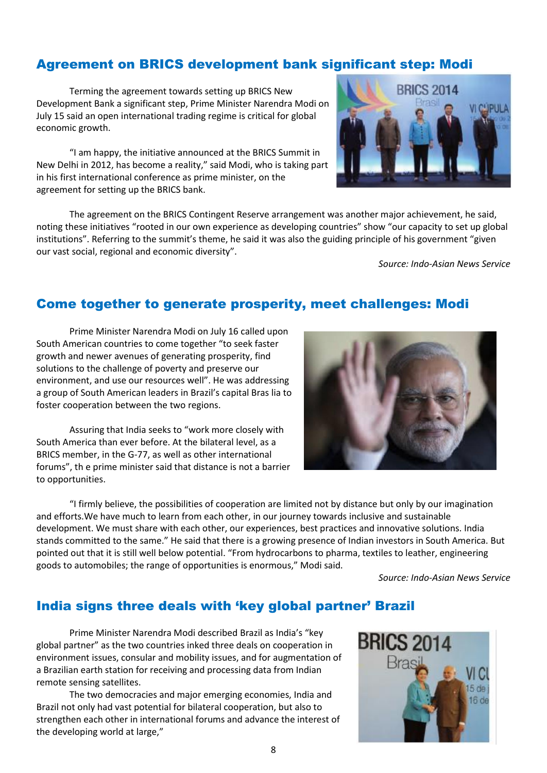### Agreement on BRICS development bank significant step: Modi

Terming the agreement towards setting up BRICS New Development Bank a significant step, Prime Minister Narendra Modi on July 15 said an open international trading regime is critical for global economic growth.

"I am happy, the initiative announced at the BRICS Summit in New Delhi in 2012, has become a reality," said Modi, who is taking part in his first international conference as prime minister, on the agreement for setting up the BRICS bank.

The agreement on the BRICS Contingent Reserve arrangement was another major achievement, he said, noting these initiatives "rooted in our own experience as developing countries" show "our capacity to set up global institutions". Referring to the summit's theme, he said it was also the guiding principle of his government "given our vast social, regional and economic diversity".

*Source: Indo-Asian News Service*

### Come together to generate prosperity, meet challenges: Modi

Prime Minister Narendra Modi on July 16 called upon South American countries to come together "to seek faster growth and newer avenues of generating prosperity, find solutions to the challenge of poverty and preserve our environment, and use our resources well". He was addressing a group of South American leaders in Brazil's capital Bras lia to foster cooperation between the two regions.

Assuring that India seeks to "work more closely with South America than ever before. At the bilateral level, as a BRICS member, in the G-77, as well as other international forums", th e prime minister said that distance is not a barrier to opportunities.

"I firmly believe, the possibilities of cooperation are limited not by distance but only by our imagination and efforts.We have much to learn from each other, in our journey towards inclusive and sustainable development. We must share with each other, our experiences, best practices and innovative solutions. India stands committed to the same." He said that there is a growing presence of Indian investors in South America. But pointed out that it is still well below potential. "From hydrocarbons to pharma, textiles to leather, engineering goods to automobiles; the range of opportunities is enormous," Modi said.

*Source: Indo-Asian News Service*

## India signs three deals with 'key global partner' Brazil

Prime Minister Narendra Modi described Brazil as India's "key global partner" as the two countries inked three deals on cooperation in environment issues, consular and mobility issues, and for augmentation of a Brazilian earth station for receiving and processing data from Indian remote sensing satellites.

The two democracies and major emerging economies, India and Brazil not only had vast potential for bilateral cooperation, but also to strengthen each other in international forums and advance the interest of the developing world at large,"





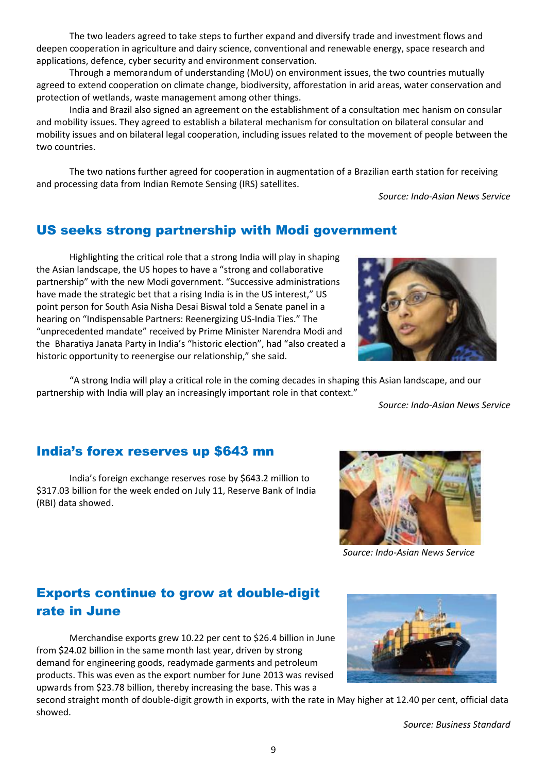The two leaders agreed to take steps to further expand and diversify trade and investment flows and deepen cooperation in agriculture and dairy science, conventional and renewable energy, space research and applications, defence, cyber security and environment conservation.

Through a memorandum of understanding (MoU) on environment issues, the two countries mutually agreed to extend cooperation on climate change, biodiversity, afforestation in arid areas, water conservation and protection of wetlands, waste management among other things.

India and Brazil also signed an agreement on the establishment of a consultation mec hanism on consular and mobility issues. They agreed to establish a bilateral mechanism for consultation on bilateral consular and mobility issues and on bilateral legal cooperation, including issues related to the movement of people between the two countries.

The two nations further agreed for cooperation in augmentation of a Brazilian earth station for receiving and processing data from Indian Remote Sensing (IRS) satellites.

*Source: Indo-Asian News Service*

## US seeks strong partnership with Modi government

Highlighting the critical role that a strong India will play in shaping the Asian landscape, the US hopes to have a "strong and collaborative partnership" with the new Modi government. "Successive administrations have made the strategic bet that a rising India is in the US interest," US point person for South Asia Nisha Desai Biswal told a Senate panel in a hearing on "Indispensable Partners: Reenergizing US-India Ties." The "unprecedented mandate" received by Prime Minister Narendra Modi and the Bharatiya Janata Party in India's "historic election", had "also created a historic opportunity to reenergise our relationship," she said.



"A strong India will play a critical role in the coming decades in shaping this Asian landscape, and our partnership with India will play an increasingly important role in that context."

*Source: Indo-Asian News Service*

### India's forex reserves up \$643 mn

India's foreign exchange reserves rose by \$643.2 million to \$317.03 billion for the week ended on July 11, Reserve Bank of India (RBI) data showed.



*Source: Indo-Asian News Service*

## Exports continue to grow at double-digit rate in June

Merchandise exports grew 10.22 per cent to \$26.4 billion in June from \$24.02 billion in the same month last year, driven by strong demand for engineering goods, readymade garments and petroleum products. This was even as the export number for June 2013 was revised upwards from \$23.78 billion, thereby increasing the base. This was a



second straight month of double-digit growth in exports, with the rate in May higher at 12.40 per cent, official data showed.